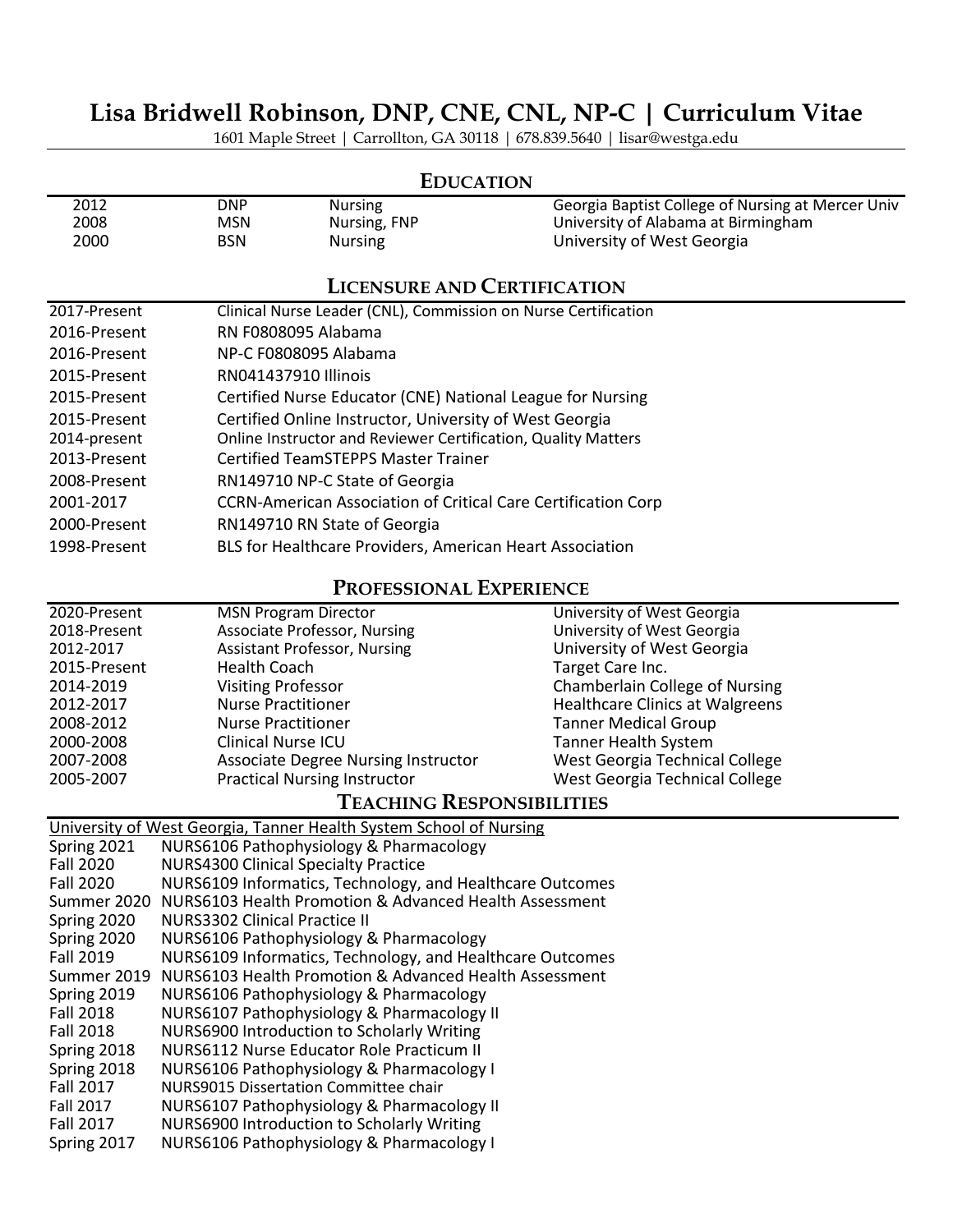# **Lisa Bridwell Robinson, DNP, CNE, CNL, NP-C | Curriculum Vitae**

1601 Maple Street | Carrollton, GA 30118 | 678.839.5640 | lisar@westga.edu

|              |                          | <b>EDUCATION</b>                                                     |                                                                                          |
|--------------|--------------------------|----------------------------------------------------------------------|------------------------------------------------------------------------------------------|
| 2012<br>2008 | <b>DNP</b><br><b>MSN</b> | <b>Nursing</b><br>Nursing, FNP                                       | Georgia Baptist College of Nursing at Mercer Univ<br>University of Alabama at Birmingham |
| 2000         | <b>BSN</b>               | <b>Nursing</b>                                                       | University of West Georgia                                                               |
|              |                          | <b>LICENSURE AND CERTIFICATION</b>                                   |                                                                                          |
| 2017-Present |                          | Clinical Nurse Leader (CNL), Commission on Nurse Certification       |                                                                                          |
| 2016-Present |                          | RN F0808095 Alabama                                                  |                                                                                          |
| 2016-Present |                          | NP-C F0808095 Alabama                                                |                                                                                          |
| 2015-Present |                          | RN041437910 Illinois                                                 |                                                                                          |
| 2015-Present |                          | Certified Nurse Educator (CNE) National League for Nursing           |                                                                                          |
| 2015-Present |                          | Certified Online Instructor, University of West Georgia              |                                                                                          |
| 2014-present |                          | Online Instructor and Reviewer Certification, Quality Matters        |                                                                                          |
| 2013-Present |                          | <b>Certified TeamSTEPPS Master Trainer</b>                           |                                                                                          |
| 2008-Present |                          | RN149710 NP-C State of Georgia                                       |                                                                                          |
| 2001-2017    |                          | <b>CCRN-American Association of Critical Care Certification Corp</b> |                                                                                          |
| 2000-Present |                          | RN149710 RN State of Georgia                                         |                                                                                          |
| 1998-Present |                          | BLS for Healthcare Providers, American Heart Association             |                                                                                          |

### **PROFESSIONAL EXPERIENCE**

| 2020-Present | <b>MSN Program Director</b>                                                                                                                                                                                                                                                                      | University of West Georgia             |
|--------------|--------------------------------------------------------------------------------------------------------------------------------------------------------------------------------------------------------------------------------------------------------------------------------------------------|----------------------------------------|
| 2018-Present | <b>Associate Professor, Nursing</b>                                                                                                                                                                                                                                                              | University of West Georgia             |
| 2012-2017    | <b>Assistant Professor, Nursing</b>                                                                                                                                                                                                                                                              | University of West Georgia             |
| 2015-Present | <b>Health Coach</b>                                                                                                                                                                                                                                                                              | Target Care Inc.                       |
| 2014-2019    | <b>Visiting Professor</b>                                                                                                                                                                                                                                                                        | Chamberlain College of Nursing         |
| 2012-2017    | <b>Nurse Practitioner</b>                                                                                                                                                                                                                                                                        | <b>Healthcare Clinics at Walgreens</b> |
| 2008-2012    | <b>Nurse Practitioner</b>                                                                                                                                                                                                                                                                        | <b>Tanner Medical Group</b>            |
| 2000-2008    | <b>Clinical Nurse ICU</b>                                                                                                                                                                                                                                                                        | <b>Tanner Health System</b>            |
| 2007-2008    | <b>Associate Degree Nursing Instructor</b>                                                                                                                                                                                                                                                       | West Georgia Technical College         |
| 2005-2007    | <b>Practical Nursing Instructor</b>                                                                                                                                                                                                                                                              | West Georgia Technical College         |
|              | $\mathbf{r}$ and $\mathbf{r}$ and $\mathbf{r}$ and $\mathbf{r}$ and $\mathbf{r}$ and $\mathbf{r}$ and $\mathbf{r}$ and $\mathbf{r}$ and $\mathbf{r}$ and $\mathbf{r}$ and $\mathbf{r}$ and $\mathbf{r}$ and $\mathbf{r}$ and $\mathbf{r}$ and $\mathbf{r}$ and $\mathbf{r}$ and $\mathbf{r}$ and |                                        |

#### **TEACHING RESPONSIBILITIES**

| University of West Georgia, Tanner Health System School of Nursing            |  |
|-------------------------------------------------------------------------------|--|
| Spring 2021<br>NURS6106 Pathophysiology & Pharmacology                        |  |
| <b>NURS4300 Clinical Specialty Practice</b><br><b>Fall 2020</b>               |  |
| NURS6109 Informatics, Technology, and Healthcare Outcomes<br><b>Fall 2020</b> |  |
| Summer 2020 NURS6103 Health Promotion & Advanced Health Assessment            |  |
| Spring 2020<br>NURS3302 Clinical Practice II                                  |  |
| Spring 2020<br>NURS6106 Pathophysiology & Pharmacology                        |  |
| NURS6109 Informatics, Technology, and Healthcare Outcomes<br>Fall 2019        |  |
| Summer 2019 NURS6103 Health Promotion & Advanced Health Assessment            |  |
| Spring 2019<br>NURS6106 Pathophysiology & Pharmacology                        |  |
| NURS6107 Pathophysiology & Pharmacology II<br><b>Fall 2018</b>                |  |
| NURS6900 Introduction to Scholarly Writing<br><b>Fall 2018</b>                |  |
| NURS6112 Nurse Educator Role Practicum II<br>Spring 2018                      |  |
| Spring 2018<br>NURS6106 Pathophysiology & Pharmacology I                      |  |
| <b>Fall 2017</b><br>NURS9015 Dissertation Committee chair                     |  |
| NURS6107 Pathophysiology & Pharmacology II<br><b>Fall 2017</b>                |  |
| NURS6900 Introduction to Scholarly Writing<br>Fall 2017                       |  |
| NURS6106 Pathophysiology & Pharmacology I<br>Spring 2017                      |  |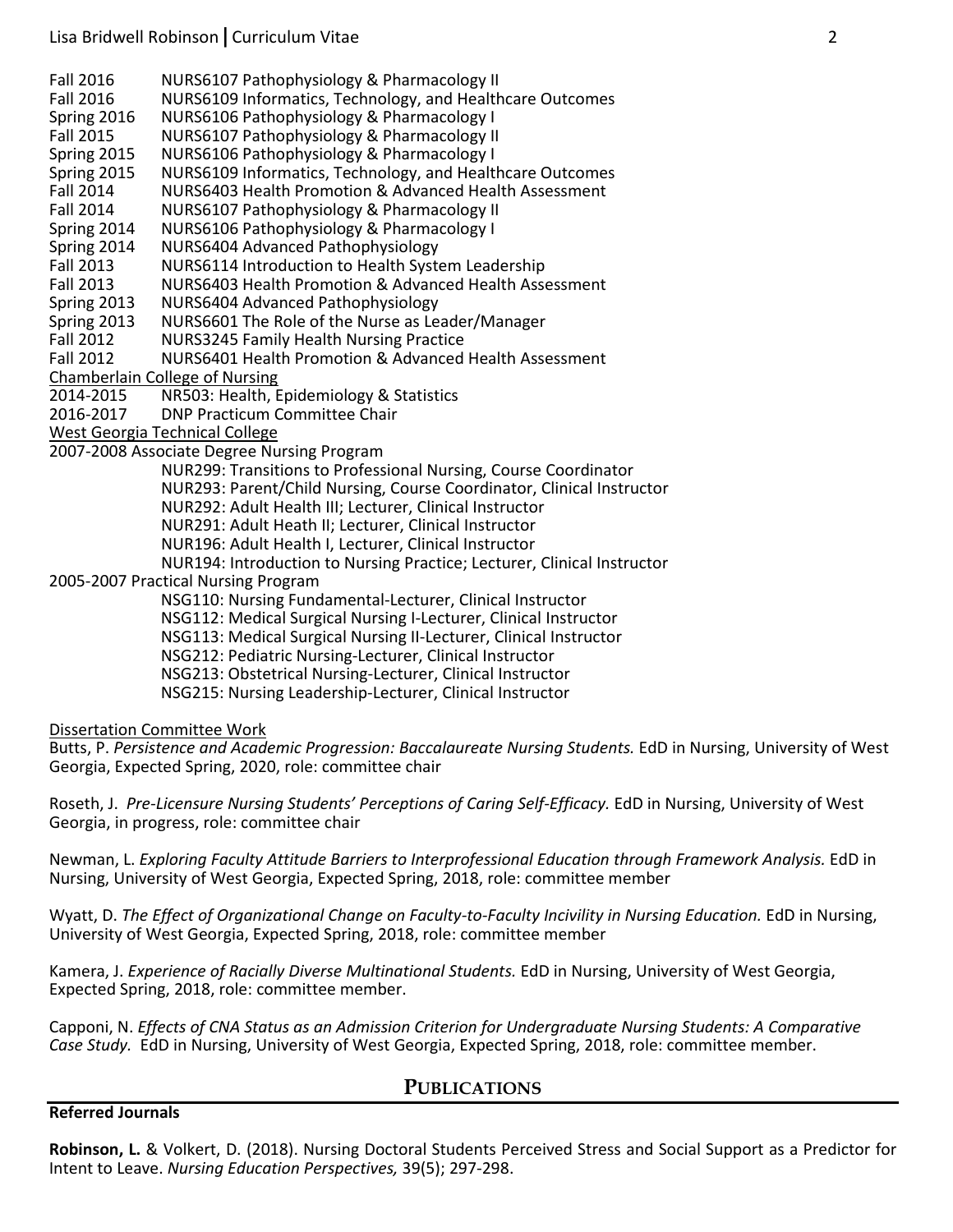Fall 2016 NURS6107 Pathophysiology & Pharmacology II

Fall 2016 NURS6109 Informatics, Technology, and Healthcare Outcomes<br>Spring 2016 NURS6106 Pathophysiology & Pharmacology I

Spring 2016 NURS6106 Pathophysiology & Pharmacology I

NURS6107 Pathophysiology & Pharmacology II

Spring 2015 NURS6106 Pathophysiology & Pharmacology I

Spring 2015 NURS6109 Informatics, Technology, and Healthcare Outcomes

Fall 2014 NURS6403 Health Promotion & Advanced Health Assessment

Fall 2014 NURS6107 Pathophysiology & Pharmacology II

Spring 2014 NURS6106 Pathophysiology & Pharmacology I

Spring 2014 NURS6404 Advanced Pathophysiology

Fall 2013 NURS6114 Introduction to Health System Leadership

Fall 2013 NURS6403 Health Promotion & Advanced Health Assessment

Spring 2013 NURS6404 Advanced Pathophysiology

Spring 2013 NURS6601 The Role of the Nurse as Leader/Manager

Fall 2012 NURS3245 Family Health Nursing Practice

Fall 2012 NURS6401 Health Promotion & Advanced Health Assessment

Chamberlain College of Nursing

2014-2015 NR503: Health, Epidemiology & Statistics

2016-2017 DNP Practicum Committee Chair

West Georgia Technical College

2007-2008 Associate Degree Nursing Program

NUR299: Transitions to Professional Nursing, Course Coordinator

NUR293: Parent/Child Nursing, Course Coordinator, Clinical Instructor

NUR292: Adult Health III; Lecturer, Clinical Instructor

NUR291: Adult Heath II; Lecturer, Clinical Instructor

NUR196: Adult Health I, Lecturer, Clinical Instructor

NUR194: Introduction to Nursing Practice; Lecturer, Clinical Instructor

2005-2007 Practical Nursing Program

NSG110: Nursing Fundamental-Lecturer, Clinical Instructor

NSG112: Medical Surgical Nursing I-Lecturer, Clinical Instructor

NSG113: Medical Surgical Nursing II-Lecturer, Clinical Instructor

NSG212: Pediatric Nursing-Lecturer, Clinical Instructor

NSG213: Obstetrical Nursing-Lecturer, Clinical Instructor

NSG215: Nursing Leadership-Lecturer, Clinical Instructor

Dissertation Committee Work

Butts, P. *Persistence and Academic Progression: Baccalaureate Nursing Students.* EdD in Nursing, University of West Georgia, Expected Spring, 2020, role: committee chair

Roseth, J. Pre-Licensure Nursing Students' Perceptions of Caring Self-Efficacy. EdD in Nursing, University of West Georgia, in progress, role: committee chair

Newman, L. *Exploring Faculty Attitude Barriers to Interprofessional Education through Framework Analysis.* EdD in Nursing, University of West Georgia, Expected Spring, 2018, role: committee member

Wyatt, D. The Effect of Organizational Change on Faculty-to-Faculty Incivility in Nursing Education. EdD in Nursing, University of West Georgia, Expected Spring, 2018, role: committee member

Kamera, J. *Experience of Racially Diverse Multinational Students.* EdD in Nursing, University of West Georgia, Expected Spring, 2018, role: committee member.

Capponi, N. *Effects of CNA Status as an Admission Criterion for Undergraduate Nursing Students: A Comparative Case Study.* EdD in Nursing, University of West Georgia, Expected Spring, 2018, role: committee member.

#### **PUBLICATIONS**

**Referred Journals**

**Robinson, L.** & Volkert, D. (2018). Nursing Doctoral Students Perceived Stress and Social Support as a Predictor for Intent to Leave. *Nursing Education Perspectives,* 39(5); 297-298.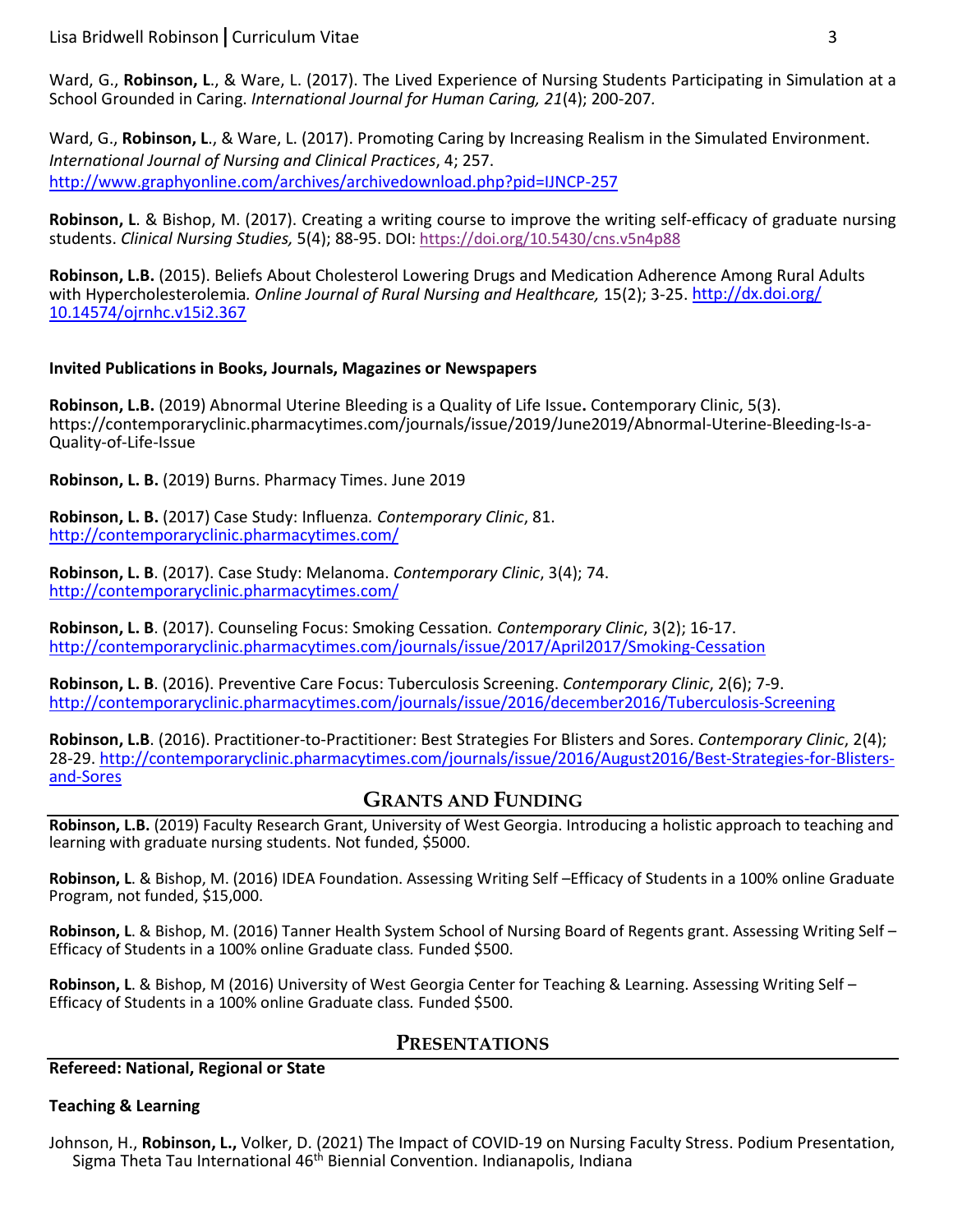Ward, G., **Robinson, L**., & Ware, L. (2017). The Lived Experience of Nursing Students Participating in Simulation at a School Grounded in Caring. *International Journal for Human Caring, 21*(4); 200-207*.* 

Ward, G., Robinson, L., & Ware, L. (2017). Promoting Caring by Increasing Realism in the Simulated Environment. *International Journal of Nursing and Clinical Practices*, 4; 257. <http://www.graphyonline.com/archives/archivedownload.php?pid=IJNCP-257>

**Robinson, L**. & Bishop, M. (2017). Creating a writing course to improve the writing self-efficacy of graduate nursing students. *Clinical Nursing Studies,* 5(4); 88-95. DOI: <https://doi.org/10.5430/cns.v5n4p88>

**Robinson, L.B.** (2015). Beliefs About Cholesterol Lowering Drugs and Medication Adherence Among Rural Adults with Hypercholesterolemia*. Online Journal of Rural Nursing and Healthcare,* 15(2); 3-25[. http://dx.doi.org/](http://dx.doi.org/%2010.14574/ojrnhc.v15i2.367)  [10.14574/ojrnhc.v15i2.367](http://dx.doi.org/%2010.14574/ojrnhc.v15i2.367)

#### **Invited Publications in Books, Journals, Magazines or Newspapers**

**Robinson, L.B.** (2019) Abnormal Uterine Bleeding is a Quality of Life Issue**.** Contemporary Clinic, 5(3). https://contemporaryclinic.pharmacytimes.com/journals/issue/2019/June2019/Abnormal-Uterine-Bleeding-Is-a-Quality-of-Life-Issue

**Robinson, L. B.** (2019) Burns. Pharmacy Times. June 2019

**Robinson, L. B.** (2017) Case Study: Influenza*. Contemporary Clinic*, 81. <http://contemporaryclinic.pharmacytimes.com/>

**Robinson, L. B**. (2017). Case Study: Melanoma. *Contemporary Clinic*, 3(4); 74. <http://contemporaryclinic.pharmacytimes.com/>

**Robinson, L. B**. (2017). Counseling Focus: Smoking Cessation*. Contemporary Clinic*, 3(2); 16-17. <http://contemporaryclinic.pharmacytimes.com/journals/issue/2017/April2017/Smoking-Cessation>

**Robinson, L. B**. (2016). Preventive Care Focus: Tuberculosis Screening. *Contemporary Clinic*, 2(6); 7-9. <http://contemporaryclinic.pharmacytimes.com/journals/issue/2016/december2016/Tuberculosis-Screening>

**Robinson, L.B**. (2016). Practitioner-to-Practitioner: Best Strategies For Blisters and Sores. *Contemporary Clinic*, 2(4); 28-29. [http://contemporaryclinic.pharmacytimes.com/journals/issue/2016/August2016/Best-Strategies-for-Blisters](http://contemporaryclinic.pharmacytimes.com/journals/issue/2016/August2016/Best-Strategies-for-Blisters-and-Sores)[and-Sores](http://contemporaryclinic.pharmacytimes.com/journals/issue/2016/August2016/Best-Strategies-for-Blisters-and-Sores)

#### **GRANTS AND FUNDING**

**Robinson, L.B.** (2019) Faculty Research Grant, University of West Georgia. Introducing a holistic approach to teaching and learning with graduate nursing students. Not funded, \$5000.

**Robinson, L**. & Bishop, M. (2016) IDEA Foundation. Assessing Writing Self –Efficacy of Students in a 100% online Graduate Program, not funded, \$15,000.

**Robinson, L**. & Bishop, M. (2016) Tanner Health System School of Nursing Board of Regents grant. Assessing Writing Self – Efficacy of Students in a 100% online Graduate class*.* Funded \$500.

**Robinson, L**. & Bishop, M (2016) University of West Georgia Center for Teaching & Learning. Assessing Writing Self – Efficacy of Students in a 100% online Graduate class*.* Funded \$500.

### **PRESENTATIONS**

**Refereed: National, Regional or State** 

#### **Teaching & Learning**

Johnson, H., **Robinson, L.,** Volker, D. (2021) The Impact of COVID-19 on Nursing Faculty Stress. Podium Presentation, Sigma Theta Tau International 46<sup>th</sup> Biennial Convention. Indianapolis, Indiana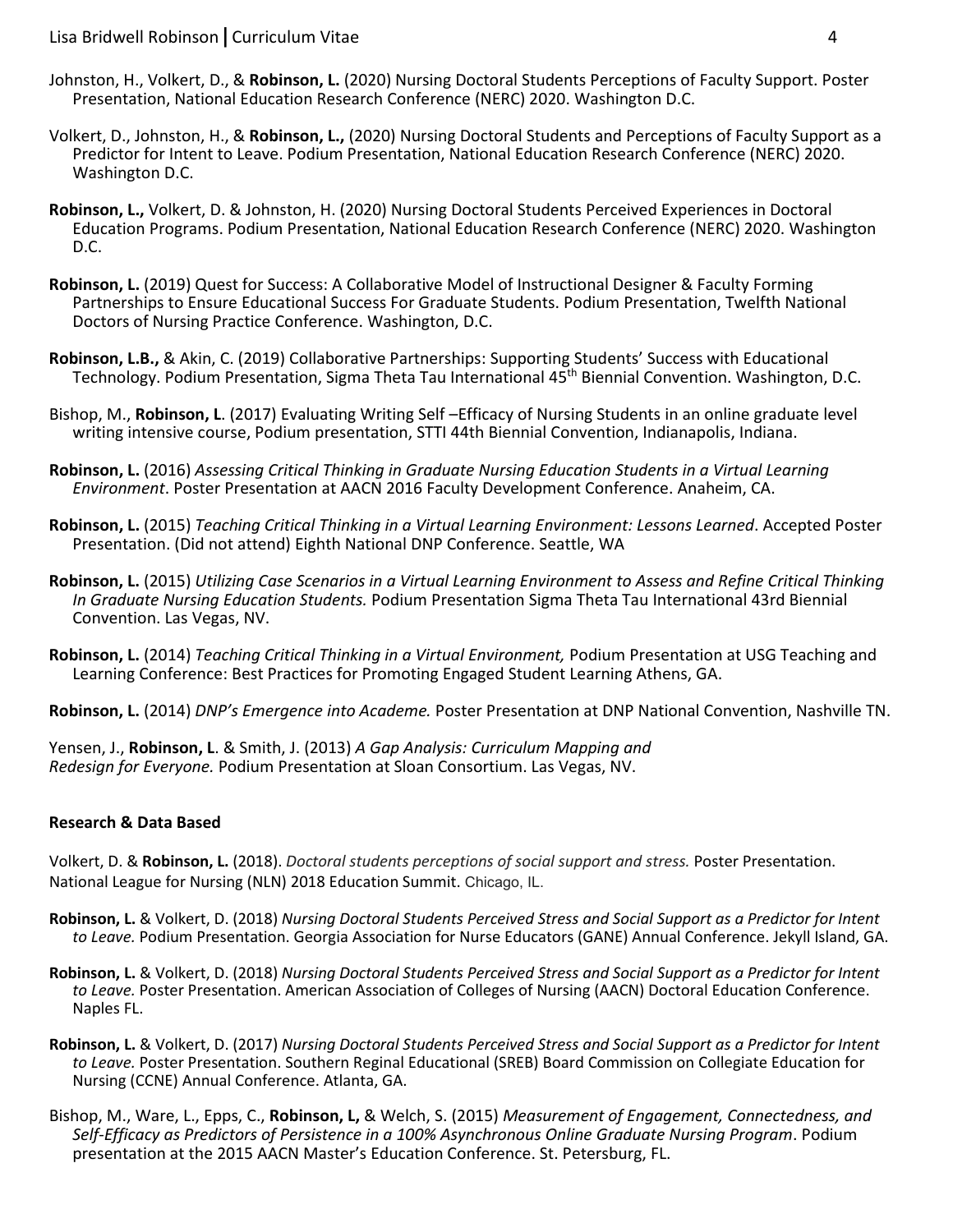- Johnston, H., Volkert, D., & **Robinson, L.** (2020) Nursing Doctoral Students Perceptions of Faculty Support. Poster Presentation, National Education Research Conference (NERC) 2020. Washington D.C.
- Volkert, D., Johnston, H., & **Robinson, L.,** (2020) Nursing Doctoral Students and Perceptions of Faculty Support as a Predictor for Intent to Leave. Podium Presentation, National Education Research Conference (NERC) 2020. Washington D.C.
- **Robinson, L.,** Volkert, D. & Johnston, H. (2020) Nursing Doctoral Students Perceived Experiences in Doctoral Education Programs. Podium Presentation, National Education Research Conference (NERC) 2020. Washington D.C.
- **Robinson, L.** (2019) Quest for Success: A Collaborative Model of Instructional Designer & Faculty Forming Partnerships to Ensure Educational Success For Graduate Students. Podium Presentation, Twelfth National Doctors of Nursing Practice Conference. Washington, D.C.
- **Robinson, L.B.,** & Akin, C. (2019) Collaborative Partnerships: Supporting Students' Success with Educational Technology. Podium Presentation, Sigma Theta Tau International 45th Biennial Convention. Washington, D.C.
- Bishop, M., **Robinson, L**. (2017) Evaluating Writing Self –Efficacy of Nursing Students in an online graduate level writing intensive course, Podium presentation, STTI 44th Biennial Convention, Indianapolis, Indiana.
- **Robinson, L.** (2016) *Assessing Critical Thinking in Graduate Nursing Education Students in a Virtual Learning Environment*. Poster Presentation at AACN 2016 Faculty Development Conference. Anaheim, CA.
- **Robinson, L.** (2015) *Teaching Critical Thinking in a Virtual Learning Environment: Lessons Learned*. Accepted Poster Presentation. (Did not attend) Eighth National DNP Conference. Seattle, WA
- **Robinson, L.** (2015) *Utilizing Case Scenarios in a Virtual Learning Environment to Assess and Refine Critical Thinking In Graduate Nursing Education Students.* Podium Presentation Sigma Theta Tau International 43rd Biennial Convention. Las Vegas, NV.
- **Robinson, L.** (2014) *Teaching Critical Thinking in a Virtual Environment,* Podium Presentation at USG Teaching and Learning Conference: Best Practices for Promoting Engaged Student Learning Athens, GA.
- **Robinson, L.** (2014) *DNP's Emergence into Academe.* Poster Presentation at DNP National Convention, Nashville TN.

Yensen, J., **Robinson, L**. & Smith, J. (2013) *A Gap Analysis: Curriculum Mapping and Redesign for Everyone.* Podium Presentation at Sloan Consortium. Las Vegas, NV.

#### **Research & Data Based**

Volkert, D. & **Robinson, L.** (2018). *Doctoral students perceptions of social support and stress.* Poster Presentation. National League for Nursing (NLN) 2018 Education Summit. Chicago, IL.

- **Robinson, L.** & Volkert, D. (2018) *Nursing Doctoral Students Perceived Stress and Social Support as a Predictor for Intent to Leave.* Podium Presentation. Georgia Association for Nurse Educators (GANE) Annual Conference. Jekyll Island, GA.
- **Robinson, L.** & Volkert, D. (2018) *Nursing Doctoral Students Perceived Stress and Social Support as a Predictor for Intent to Leave.* Poster Presentation. American Association of Colleges of Nursing (AACN) Doctoral Education Conference. Naples FL.
- **Robinson, L.** & Volkert, D. (2017) *Nursing Doctoral Students Perceived Stress and Social Support as a Predictor for Intent to Leave.* Poster Presentation. Southern Reginal Educational (SREB) Board Commission on Collegiate Education for Nursing (CCNE) Annual Conference. Atlanta, GA.
- Bishop, M., Ware, L., Epps, C., **Robinson, L,** & Welch, S. (2015) *Measurement of Engagement, Connectedness, and Self-Efficacy as Predictors of Persistence in a 100% Asynchronous Online Graduate Nursing Program*. Podium presentation at the 2015 AACN Master's Education Conference. St. Petersburg, FL.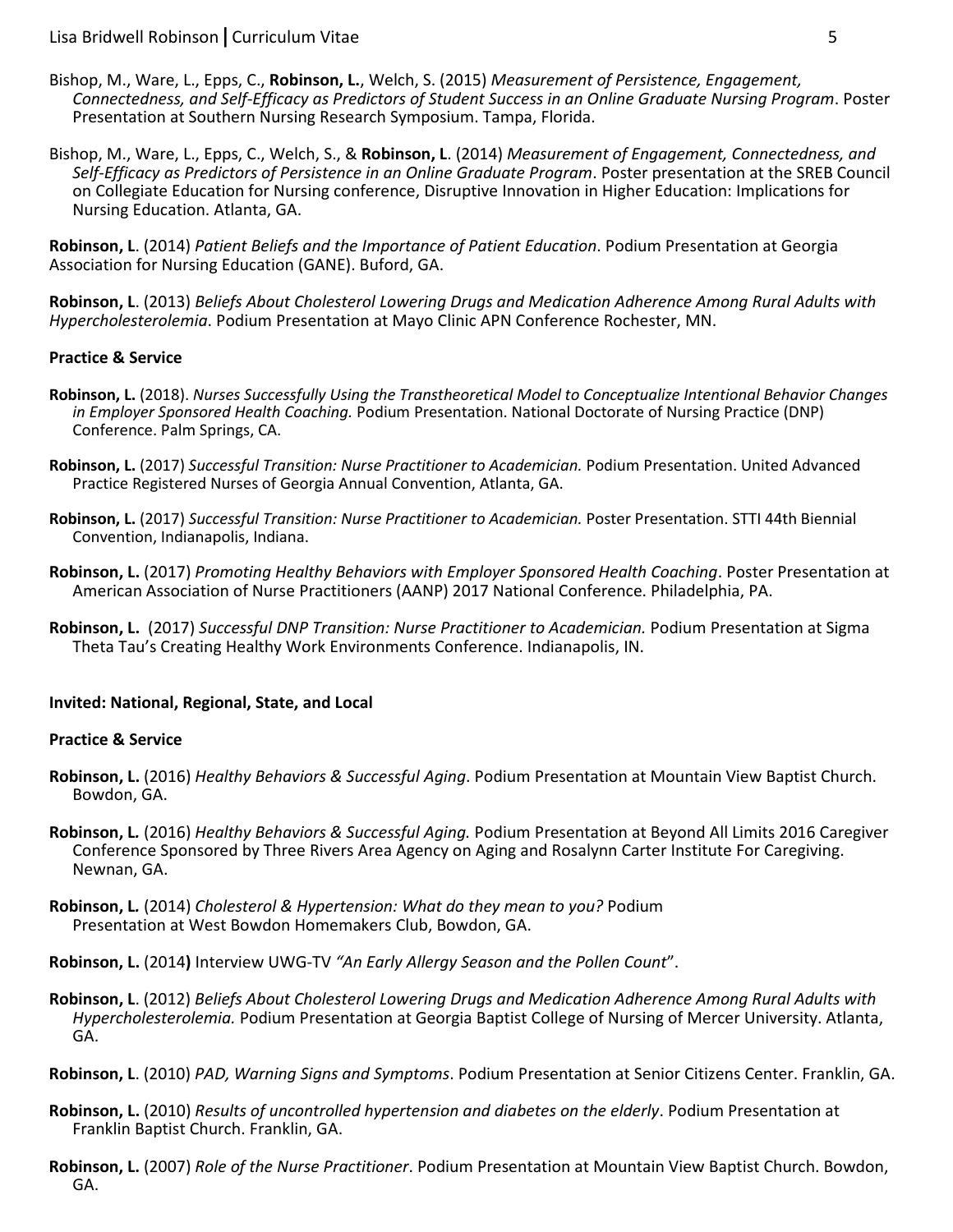- Bishop, M., Ware, L., Epps, C., **Robinson, L.**, Welch, S. (2015) *Measurement of Persistence, Engagement, Connectedness, and Self-Efficacy as Predictors of Student Success in an Online Graduate Nursing Program*. Poster Presentation at Southern Nursing Research Symposium. Tampa, Florida.
- Bishop, M., Ware, L., Epps, C., Welch, S., & **Robinson, L**. (2014) *Measurement of Engagement, Connectedness, and Self-Efficacy as Predictors of Persistence in an Online Graduate Program*. Poster presentation at the SREB Council on Collegiate Education for Nursing conference, Disruptive Innovation in Higher Education: Implications for Nursing Education. Atlanta, GA.

**Robinson, L**. (2014) *Patient Beliefs and the Importance of Patient Education*. Podium Presentation at Georgia Association for Nursing Education (GANE). Buford, GA.

**Robinson, L**. (2013) *Beliefs About Cholesterol Lowering Drugs and Medication Adherence Among Rural Adults with Hypercholesterolemia*. Podium Presentation at Mayo Clinic APN Conference Rochester, MN.

#### **Practice & Service**

- **Robinson, L.** (2018). *Nurses Successfully Using the Transtheoretical Model to Conceptualize Intentional Behavior Changes in Employer Sponsored Health Coaching.* Podium Presentation. National Doctorate of Nursing Practice (DNP) Conference. Palm Springs, CA.
- **Robinson, L.** (2017) *Successful Transition: Nurse Practitioner to Academician.* Podium Presentation. United Advanced Practice Registered Nurses of Georgia Annual Convention, Atlanta, GA.
- **Robinson, L.** (2017) *Successful Transition: Nurse Practitioner to Academician.* Poster Presentation. STTI 44th Biennial Convention, Indianapolis, Indiana.
- **Robinson, L.** (2017) *Promoting Healthy Behaviors with Employer Sponsored Health Coaching*. Poster Presentation at American Association of Nurse Practitioners (AANP) 2017 National Conference. Philadelphia, PA.
- **Robinson, L.** (2017) *Successful DNP Transition: Nurse Practitioner to Academician.* Podium Presentation at Sigma Theta Tau's Creating Healthy Work Environments Conference. Indianapolis, IN.

#### **Invited: National, Regional, State, and Local**

#### **Practice & Service**

- **Robinson, L.** (2016) *Healthy Behaviors & Successful Aging*. Podium Presentation at Mountain View Baptist Church. Bowdon, GA.
- **Robinson, L***.* (2016) *Healthy Behaviors & Successful Aging.* Podium Presentation at Beyond All Limits 2016 Caregiver Conference Sponsored by Three Rivers Area Agency on Aging and Rosalynn Carter Institute For Caregiving. Newnan, GA.
- **Robinson, L***.* (2014) *Cholesterol & Hypertension: What do they mean to you?* Podium Presentation at West Bowdon Homemakers Club, Bowdon, GA.

**Robinson, L.** (2014**)** Interview UWG-TV *"An Early Allergy Season and the Pollen Count*".

- **Robinson, L**. (2012) *Beliefs About Cholesterol Lowering Drugs and Medication Adherence Among Rural Adults with Hypercholesterolemia.* Podium Presentation at Georgia Baptist College of Nursing of Mercer University. Atlanta, GA.
- **Robinson, L**. (2010) *PAD, Warning Signs and Symptoms*. Podium Presentation at Senior Citizens Center. Franklin, GA.
- **Robinson, L.** (2010) *Results of uncontrolled hypertension and diabetes on the elderly*. Podium Presentation at Franklin Baptist Church. Franklin, GA.
- **Robinson, L.** (2007) *Role of the Nurse Practitioner*. Podium Presentation at Mountain View Baptist Church. Bowdon, GA.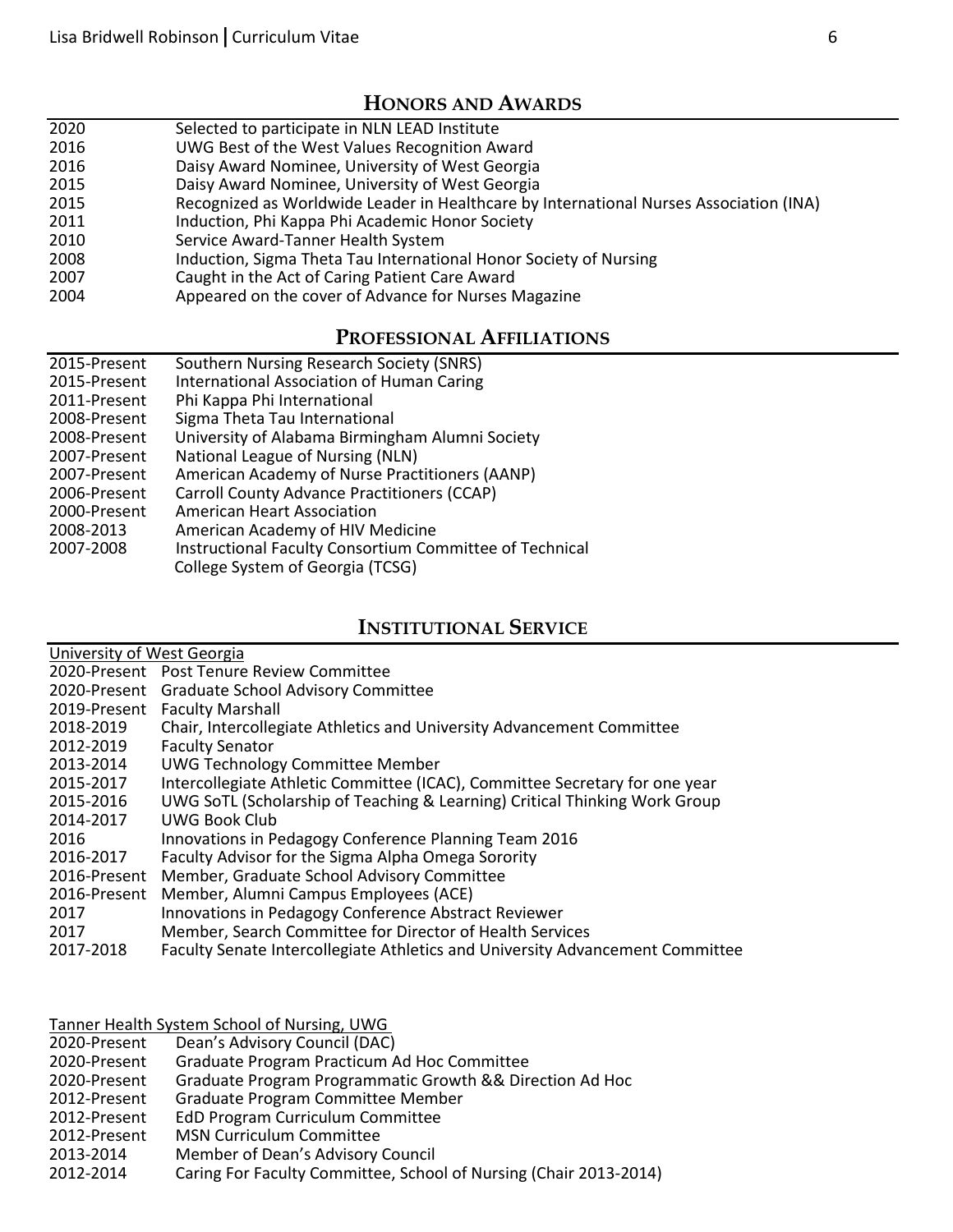### **HONORS AND AWARDS**

- 2020 Selected to participate in NLN LEAD Institute
- 2016 UWG Best of the West Values Recognition Award
- 2016 Daisy Award Nominee, University of West Georgia
- 2015 Daisy Award Nominee, University of West Georgia
- 2015 Recognized as Worldwide Leader in Healthcare by International Nurses Association (INA)
- 2011 Induction, Phi Kappa Phi Academic Honor Society<br>2010 Service Award-Tanner Health System
- Service Award-Tanner Health System
- 2008 Induction, Sigma Theta Tau International Honor Society of Nursing
- 2007 Caught in the Act of Caring Patient Care Award
- 2004 Appeared on the cover of Advance for Nurses Magazine

#### **PROFESSIONAL AFFILIATIONS**

| 2015-Present | Southern Nursing Research Society (SNRS)                |
|--------------|---------------------------------------------------------|
| 2015-Present | International Association of Human Caring               |
| 2011-Present | Phi Kappa Phi International                             |
| 2008-Present | Sigma Theta Tau International                           |
| 2008-Present | University of Alabama Birmingham Alumni Society         |
| 2007-Present | National League of Nursing (NLN)                        |
| 2007-Present | American Academy of Nurse Practitioners (AANP)          |
| 2006-Present | <b>Carroll County Advance Practitioners (CCAP)</b>      |
| 2000-Present | American Heart Association                              |
| 2008-2013    | American Academy of HIV Medicine                        |
| 2007-2008    | Instructional Faculty Consortium Committee of Technical |
|              | College System of Georgia (TCSG)                        |

## **INSTITUTIONAL SERVICE**

| University of West Georgia |                                                                               |
|----------------------------|-------------------------------------------------------------------------------|
|                            | 2020-Present Post Tenure Review Committee                                     |
| 2020-Present               | <b>Graduate School Advisory Committee</b>                                     |
| 2019-Present               | <b>Faculty Marshall</b>                                                       |
| 2018-2019                  | Chair, Intercollegiate Athletics and University Advancement Committee         |
| 2012-2019                  | <b>Faculty Senator</b>                                                        |
| 2013-2014                  | <b>UWG Technology Committee Member</b>                                        |
| 2015-2017                  | Intercollegiate Athletic Committee (ICAC), Committee Secretary for one year   |
| 2015-2016                  | UWG SoTL (Scholarship of Teaching & Learning) Critical Thinking Work Group    |
| 2014-2017                  | <b>UWG Book Club</b>                                                          |
| 2016                       | Innovations in Pedagogy Conference Planning Team 2016                         |
| 2016-2017                  | Faculty Advisor for the Sigma Alpha Omega Sorority                            |
| 2016-Present               | Member, Graduate School Advisory Committee                                    |
| 2016-Present               | Member, Alumni Campus Employees (ACE)                                         |
| 2017                       | Innovations in Pedagogy Conference Abstract Reviewer                          |
| 2017                       | Member, Search Committee for Director of Health Services                      |
| 2017-2018                  | Faculty Senate Intercollegiate Athletics and University Advancement Committee |
|                            |                                                                               |

Tanner Health System School of Nursing, UWG

| 2020-Present | Dean's Advisory Council (DAC) |  |
|--------------|-------------------------------|--|
|              |                               |  |

- 2020-Present Graduate Program Practicum Ad Hoc Committee
- 2020-Present Graduate Program Programmatic Growth && Direction Ad Hoc
- 2012-Present Graduate Program Committee Member
- 2012-Present EdD Program Curriculum Committee
- 2012-Present MSN Curriculum Committee
- 2013-2014 Member of Dean's Advisory Council<br>2012-2014 Caring For Faculty Committee, Schoo
- 2012-2014 Caring For Faculty Committee, School of Nursing (Chair 2013-2014)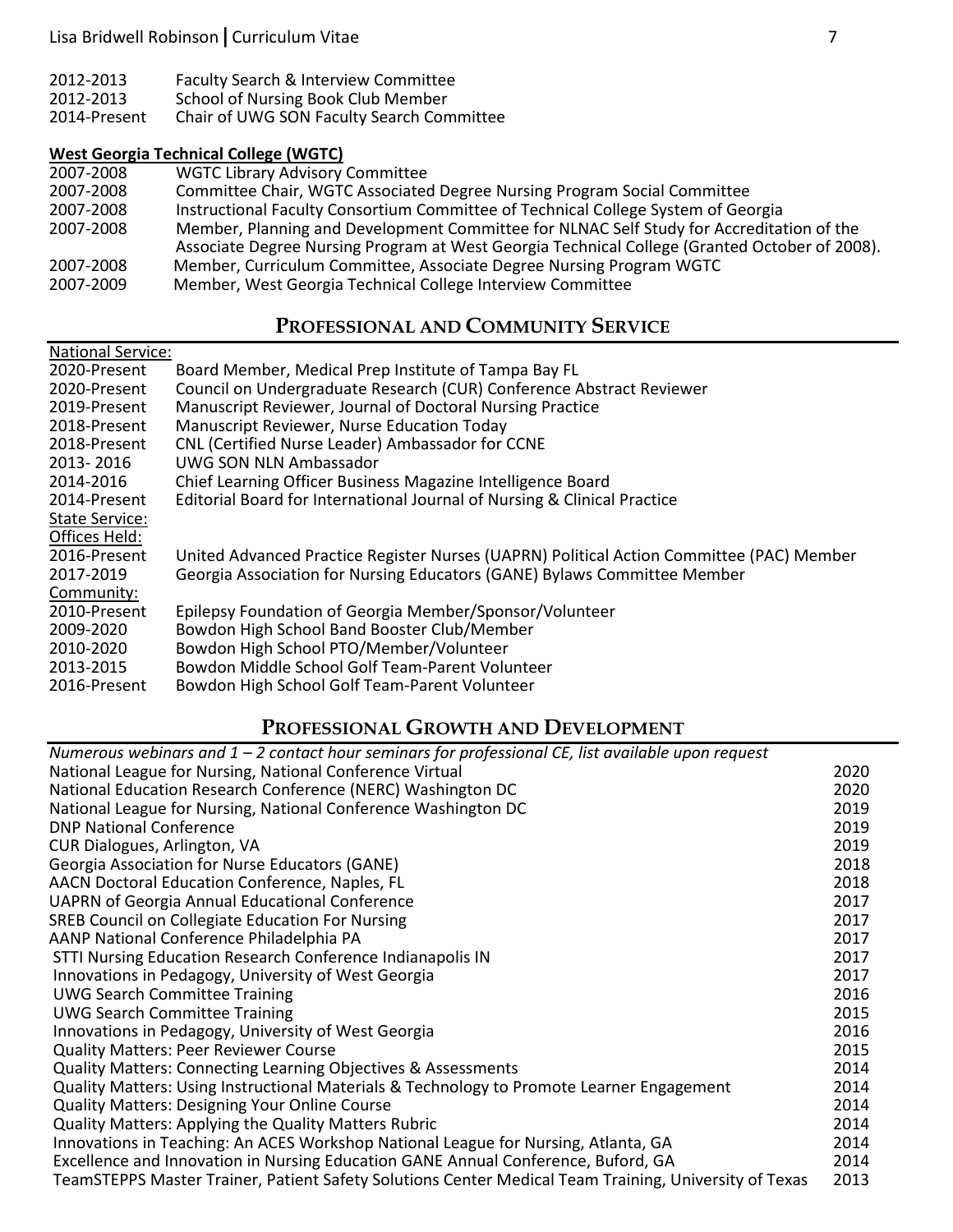| 2012-2013    | Faculty Search & Interview Committee      |
|--------------|-------------------------------------------|
| 2012-2013    | School of Nursing Book Club Member        |
| 2014-Present | Chair of UWG SON Faculty Search Committee |

## **West Georgia Technical College (WGTC)**

| 2007-2008 | <b>WGTC Library Advisory Committee</b>                                                        |
|-----------|-----------------------------------------------------------------------------------------------|
| 2007-2008 | Committee Chair, WGTC Associated Degree Nursing Program Social Committee                      |
| 2007-2008 | Instructional Faculty Consortium Committee of Technical College System of Georgia             |
| 2007-2008 | Member, Planning and Development Committee for NLNAC Self Study for Accreditation of the      |
|           | Associate Degree Nursing Program at West Georgia Technical College (Granted October of 2008). |
| 2007-2008 | Member, Curriculum Committee, Associate Degree Nursing Program WGTC                           |
| 2007-2009 | Member, West Georgia Technical College Interview Committee                                    |

## **PROFESSIONAL AND COMMUNITY SERVICE**

| <b>National Service:</b> |                                                                                          |
|--------------------------|------------------------------------------------------------------------------------------|
| 2020-Present             | Board Member, Medical Prep Institute of Tampa Bay FL                                     |
| 2020-Present             | Council on Undergraduate Research (CUR) Conference Abstract Reviewer                     |
| 2019-Present             | Manuscript Reviewer, Journal of Doctoral Nursing Practice                                |
| 2018-Present             | Manuscript Reviewer, Nurse Education Today                                               |
| 2018-Present             | CNL (Certified Nurse Leader) Ambassador for CCNE                                         |
| 2013-2016                | UWG SON NLN Ambassador                                                                   |
| 2014-2016                | Chief Learning Officer Business Magazine Intelligence Board                              |
| 2014-Present             | Editorial Board for International Journal of Nursing & Clinical Practice                 |
| <b>State Service:</b>    |                                                                                          |
| Offices Held:            |                                                                                          |
| 2016-Present             | United Advanced Practice Register Nurses (UAPRN) Political Action Committee (PAC) Member |
| 2017-2019                | Georgia Association for Nursing Educators (GANE) Bylaws Committee Member                 |
| Community:               |                                                                                          |
| 2010-Present             | Epilepsy Foundation of Georgia Member/Sponsor/Volunteer                                  |
| 2009-2020                | Bowdon High School Band Booster Club/Member                                              |
| 2010-2020                | Bowdon High School PTO/Member/Volunteer                                                  |
| 2013-2015                | Bowdon Middle School Golf Team-Parent Volunteer                                          |
| 2016-Present             | Bowdon High School Golf Team-Parent Volunteer                                            |

## **PROFESSIONAL GROWTH AND DEVELOPMENT**

| Numerous webinars and $1 - 2$ contact hour seminars for professional CE, list available upon request  |      |
|-------------------------------------------------------------------------------------------------------|------|
| National League for Nursing, National Conference Virtual                                              | 2020 |
| National Education Research Conference (NERC) Washington DC                                           | 2020 |
| National League for Nursing, National Conference Washington DC                                        | 2019 |
| <b>DNP National Conference</b>                                                                        | 2019 |
| CUR Dialogues, Arlington, VA                                                                          | 2019 |
| Georgia Association for Nurse Educators (GANE)                                                        | 2018 |
| AACN Doctoral Education Conference, Naples, FL                                                        | 2018 |
| <b>UAPRN of Georgia Annual Educational Conference</b>                                                 | 2017 |
| SREB Council on Collegiate Education For Nursing                                                      | 2017 |
| AANP National Conference Philadelphia PA                                                              | 2017 |
| STTI Nursing Education Research Conference Indianapolis IN                                            | 2017 |
| Innovations in Pedagogy, University of West Georgia                                                   | 2017 |
| <b>UWG Search Committee Training</b>                                                                  | 2016 |
| <b>UWG Search Committee Training</b>                                                                  | 2015 |
| Innovations in Pedagogy, University of West Georgia                                                   | 2016 |
| <b>Quality Matters: Peer Reviewer Course</b>                                                          | 2015 |
| <b>Quality Matters: Connecting Learning Objectives &amp; Assessments</b>                              | 2014 |
| Quality Matters: Using Instructional Materials & Technology to Promote Learner Engagement             | 2014 |
| <b>Quality Matters: Designing Your Online Course</b>                                                  | 2014 |
| <b>Quality Matters: Applying the Quality Matters Rubric</b>                                           | 2014 |
| Innovations in Teaching: An ACES Workshop National League for Nursing, Atlanta, GA                    | 2014 |
| Excellence and Innovation in Nursing Education GANE Annual Conference, Buford, GA                     | 2014 |
| TeamSTEPPS Master Trainer, Patient Safety Solutions Center Medical Team Training, University of Texas | 2013 |
|                                                                                                       |      |